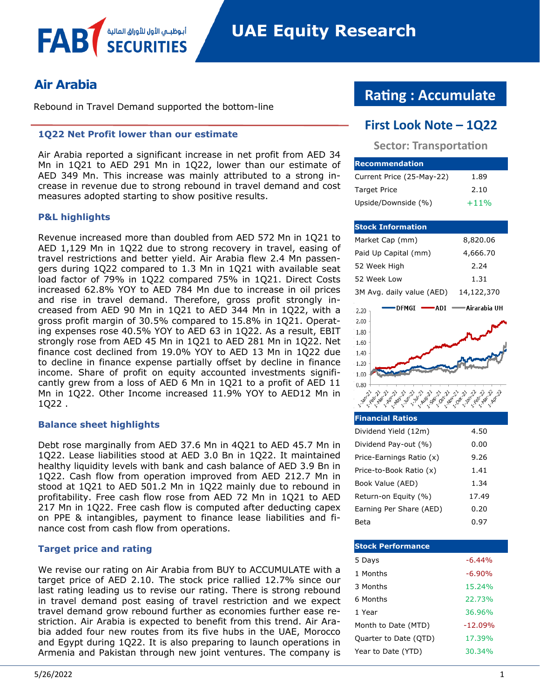# **Air Arabia**

FAB

Rebound in Travel Demand supported the bottom-line

أبوظبــي الأول للأوراق المالية

#### **1Q22 Net Profit lower than our estimate**

Air Arabia reported a significant increase in net profit from AED 34 Mn in 1Q21 to AED 291 Mn in 1Q22, lower than our estimate of AED 349 Mn. This increase was mainly attributed to a strong increase in revenue due to strong rebound in travel demand and cost measures adopted starting to show positive results.

#### **P&L highlights**

Revenue increased more than doubled from AED 572 Mn in 1Q21 to AED 1,129 Mn in 1Q22 due to strong recovery in travel, easing of travel restrictions and better yield. Air Arabia flew 2.4 Mn passengers during 1Q22 compared to 1.3 Mn in 1Q21 with available seat load factor of 79% in 1Q22 compared 75% in 1Q21. Direct Costs increased 62.8% YOY to AED 784 Mn due to increase in oil prices and rise in travel demand. Therefore, gross profit strongly increased from AED 90 Mn in 1Q21 to AED 344 Mn in 1Q22, with a gross profit margin of 30.5% compared to 15.8% in 1Q21. Operating expenses rose 40.5% YOY to AED 63 in 1Q22. As a result, EBIT strongly rose from AED 45 Mn in 1Q21 to AED 281 Mn in 1Q22. Net finance cost declined from 19.0% YOY to AED 13 Mn in 1Q22 due to decline in finance expense partially offset by decline in finance income. Share of profit on equity accounted investments significantly grew from a loss of AED 6 Mn in 1Q21 to a profit of AED 11 Mn in 1Q22. Other Income increased 11.9% YOY to AED12 Mn in 1Q22 .

#### **Balance sheet highlights**

Debt rose marginally from AED 37.6 Mn in 4Q21 to AED 45.7 Mn in 1Q22. Lease liabilities stood at AED 3.0 Bn in 1Q22. It maintained healthy liquidity levels with bank and cash balance of AED 3.9 Bn in 1Q22. Cash flow from operation improved from AED 212.7 Mn in stood at 1Q21 to AED 501.2 Mn in 1Q22 mainly due to rebound in profitability. Free cash flow rose from AED 72 Mn in 1Q21 to AED 217 Mn in 1Q22. Free cash flow is computed after deducting capex on PPE & intangibles, payment to finance lease liabilities and finance cost from cash flow from operations.

#### **Target price and rating**

We revise our rating on Air Arabia from BUY to ACCUMULATE with a target price of AED 2.10. The stock price rallied 12.7% since our last rating leading us to revise our rating. There is strong rebound in travel demand post easing of travel restriction and we expect travel demand grow rebound further as economies further ease restriction. Air Arabia is expected to benefit from this trend. Air Arabia added four new routes from its five hubs in the UAE, Morocco and Egypt during 1Q22. It is also preparing to launch operations in Armenia and Pakistan through new joint ventures. The company is

# **Rating : Accumulate**

# **First Look Note – 1Q22**

**Sector: Transportation**

| <b>IRecommendation</b>    |        |
|---------------------------|--------|
| Current Price (25-May-22) | 1.89   |
| <b>Target Price</b>       | 2.10   |
| Upside/Downside (%)       | $+11%$ |

| <b>Stock Information</b>  |               |
|---------------------------|---------------|
| Market Cap (mm)           | 8,820.06      |
| Paid Up Capital (mm)      | 4,666.70      |
| 52 Week High              | 2.24          |
| 52 Week Low               | 1.31          |
| 3M Avg. daily value (AED) | 14,122,370    |
| DFMGI<br>ADI<br>2.20      | ∙Airarabia UH |
| 2.00                      |               |
| 1.80                      |               |
| 1.60                      |               |
| 1.40                      |               |
| 1.20                      |               |
| 1.00                      |               |
| 0.80                      |               |
|                           |               |

| <b>Financial Ratios</b>  |       |
|--------------------------|-------|
| Dividend Yield (12m)     | 4.50  |
| Dividend Pay-out (%)     | 0.00  |
| Price-Earnings Ratio (x) | 9.26  |
| Price-to-Book Ratio (x)  | 1.41  |
| Book Value (AED)         | 1.34  |
| Return-on Equity (%)     | 17.49 |
| Earning Per Share (AED)  | 0.20  |
| Beta                     | 0.97  |

| <b>Stock Performance</b> |           |
|--------------------------|-----------|
| 5 Days                   | $-6.44\%$ |
| 1 Months                 | $-6.90%$  |
| 3 Months                 | 15.24%    |
| 6 Months                 | 22.73%    |
| 1 Year                   | 36.96%    |
| Month to Date (MTD)      | $-12.09%$ |
| Quarter to Date (QTD)    | 17.39%    |
| Year to Date (YTD)       | 30.34%    |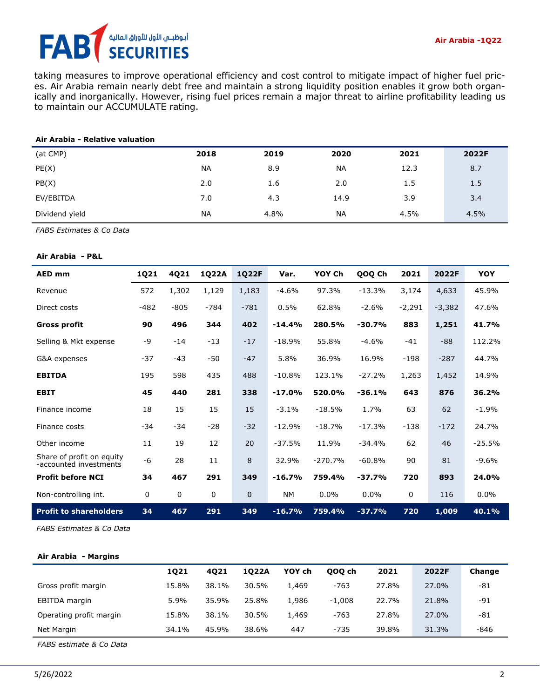# أبوظبـي الأول للأوراق المالية<br>SECURITIES FA

taking measures to improve operational efficiency and cost control to mitigate impact of higher fuel prices. Air Arabia remain nearly debt free and maintain a strong liquidity position enables it grow both organically and inorganically. However, rising fuel prices remain a major threat to airline profitability leading us to maintain our ACCUMULATE rating.

#### **Air Arabia - Relative valuation**

| (at CMP)       | 2018      | 2019 | 2020      | 2021 | 2022F |
|----------------|-----------|------|-----------|------|-------|
| PE(X)          | <b>NA</b> | 8.9  | <b>NA</b> | 12.3 | 8.7   |
| PB(X)          | 2.0       | 1.6  | 2.0       | 1.5  | 1.5   |
| EV/EBITDA      | 7.0       | 4.3  | 14.9      | 3.9  | 3.4   |
| Dividend yield | NA        | 4.8% | <b>NA</b> | 4.5% | 4.5%  |

*FABS Estimates & Co Data*

#### **Air Arabia - P&L**

| <b>AED mm</b>                                       | 1Q21   | 4Q21        | 1Q22A  | <b>1Q22F</b> | Var.      | YOY Ch    | QOQ Ch   | 2021     | 2022F    | YOY      |
|-----------------------------------------------------|--------|-------------|--------|--------------|-----------|-----------|----------|----------|----------|----------|
| Revenue                                             | 572    | 1,302       | 1,129  | 1,183        | $-4.6%$   | 97.3%     | $-13.3%$ | 3,174    | 4,633    | 45.9%    |
| Direct costs                                        | $-482$ | $-805$      | $-784$ | $-781$       | 0.5%      | 62.8%     | $-2.6%$  | $-2,291$ | $-3,382$ | 47.6%    |
| <b>Gross profit</b>                                 | 90     | 496         | 344    | 402          | $-14.4%$  | 280.5%    | $-30.7%$ | 883      | 1,251    | 41.7%    |
| Selling & Mkt expense                               | $-9$   | $-14$       | $-13$  | $-17$        | $-18.9%$  | 55.8%     | $-4.6%$  | $-41$    | $-88$    | 112.2%   |
| G&A expenses                                        | $-37$  | $-43$       | -50    | $-47$        | 5.8%      | 36.9%     | 16.9%    | $-198$   | $-287$   | 44.7%    |
| <b>EBITDA</b>                                       | 195    | 598         | 435    | 488          | $-10.8%$  | 123.1%    | $-27.2%$ | 1,263    | 1,452    | 14.9%    |
| <b>EBIT</b>                                         | 45     | 440         | 281    | 338          | $-17.0%$  | 520.0%    | $-36.1%$ | 643      | 876      | 36.2%    |
| Finance income                                      | 18     | 15          | 15     | 15           | $-3.1%$   | $-18.5%$  | 1.7%     | 63       | 62       | $-1.9%$  |
| Finance costs                                       | $-34$  | $-34$       | $-28$  | $-32$        | $-12.9%$  | $-18.7%$  | $-17.3%$ | $-138$   | $-172$   | 24.7%    |
| Other income                                        | 11     | 19          | 12     | 20           | $-37.5%$  | 11.9%     | $-34.4%$ | 62       | 46       | $-25.5%$ |
| Share of profit on equity<br>-accounted investments | $-6$   | 28          | 11     | 8            | 32.9%     | $-270.7%$ | $-60.8%$ | 90       | 81       | $-9.6%$  |
| <b>Profit before NCI</b>                            | 34     | 467         | 291    | 349          | $-16.7%$  | 759.4%    | $-37.7%$ | 720      | 893      | 24.0%    |
| Non-controlling int.                                | 0      | $\mathbf 0$ | 0      | $\mathbf 0$  | <b>NM</b> | 0.0%      | $0.0\%$  | 0        | 116      | $0.0\%$  |
| <b>Profit to shareholders</b>                       | 34     | 467         | 291    | 349          | $-16.7%$  | 759.4%    | $-37.7%$ | 720      | 1,009    | 40.1%    |

*FABS Estimates & Co Data*

#### **Air Arabia - Margins**

|                         | 1021    | 4021  | 1022A | YOY ch | 000 ch   | 2021  | 2022F | Change |
|-------------------------|---------|-------|-------|--------|----------|-------|-------|--------|
| Gross profit margin     | 15.8%   | 38.1% | 30.5% | 1,469  | $-763$   | 27.8% | 27.0% | -81    |
| EBITDA margin           | $5.9\%$ | 35.9% | 25.8% | 1,986  | $-1.008$ | 22.7% | 21.8% | -91    |
| Operating profit margin | 15.8%   | 38.1% | 30.5% | 1,469  | $-763$   | 27.8% | 27.0% | -81    |
| Net Margin              | 34.1%   | 45.9% | 38.6% | 447    | $-735$   | 39.8% | 31.3% | -846   |

*FABS estimate & Co Data*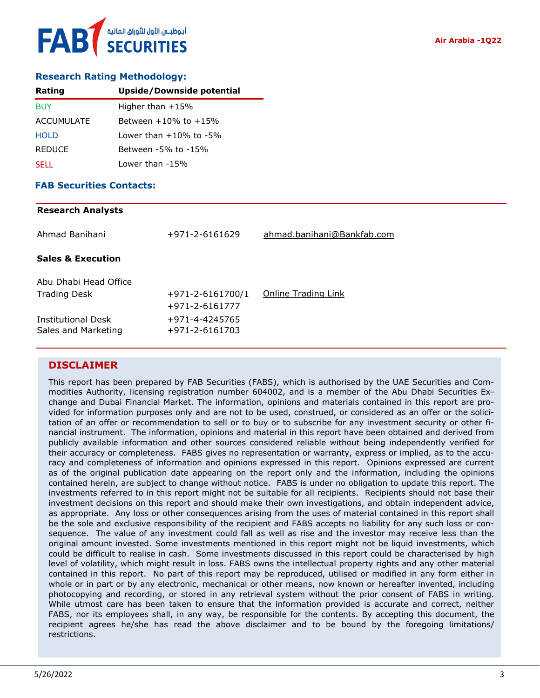## **Research Rating Methodology:**

| Rating            | <b>Upside/Downside potential</b> |
|-------------------|----------------------------------|
| <b>BUY</b>        | Higher than $+15%$               |
| <b>ACCUMULATE</b> | Between $+10\%$ to $+15\%$       |
| <b>HOLD</b>       | Lower than $+10\%$ to $-5\%$     |
| <b>REDUCE</b>     | Between -5% to -15%              |
| <b>SELL</b>       | Lower than -15%                  |

## **FAB Securities Contacts:**

### **Research Analysts**

| +971-2-6161629                           | ahmad.banihani@Bankfab.com |
|------------------------------------------|----------------------------|
|                                          |                            |
|                                          |                            |
| $+971 - 2 - 6161700/1$<br>+971-2-6161777 | Online Trading Link        |
| +971-4-4245765<br>+971-2-6161703         |                            |
|                                          |                            |

## **DISCLAIMER**

This report has been prepared by FAB Securities (FABS), which is authorised by the UAE Securities and Commodities Authority, licensing registration number 604002, and is a member of the Abu Dhabi Securities Exchange and Dubai Financial Market. The information, opinions and materials contained in this report are provided for information purposes only and are not to be used, construed, or considered as an offer or the solicitation of an offer or recommendation to sell or to buy or to subscribe for any investment security or other financial instrument. The information, opinions and material in this report have been obtained and derived from publicly available information and other sources considered reliable without being independently verified for their accuracy or completeness. FABS gives no representation or warranty, express or implied, as to the accuracy and completeness of information and opinions expressed in this report. Opinions expressed are current as of the original publication date appearing on the report only and the information, including the opinions contained herein, are subject to change without notice. FABS is under no obligation to update this report. The investments referred to in this report might not be suitable for all recipients. Recipients should not base their investment decisions on this report and should make their own investigations, and obtain independent advice, as appropriate. Any loss or other consequences arising from the uses of material contained in this report shall be the sole and exclusive responsibility of the recipient and FABS accepts no liability for any such loss or consequence. The value of any investment could fall as well as rise and the investor may receive less than the original amount invested. Some investments mentioned in this report might not be liquid investments, which could be difficult to realise in cash. Some investments discussed in this report could be characterised by high level of volatility, which might result in loss. FABS owns the intellectual property rights and any other material contained in this report. No part of this report may be reproduced, utilised or modified in any form either in whole or in part or by any electronic, mechanical or other means, now known or hereafter invented, including photocopying and recording, or stored in any retrieval system without the prior consent of FABS in writing. While utmost care has been taken to ensure that the information provided is accurate and correct, neither FABS, nor its employees shall, in any way, be responsible for the contents. By accepting this document, the recipient agrees he/she has read the above disclaimer and to be bound by the foregoing limitations/ restrictions.